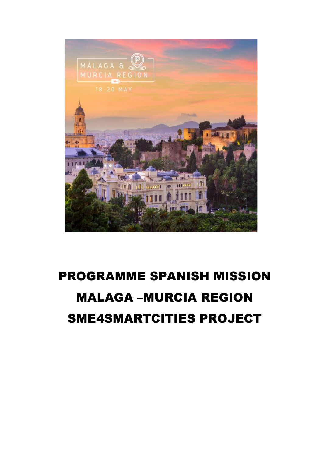

# **PROGRAMME SPANISH MISSION MALAGA -MURCIA REGION SME4SMARTCITIES PROJECT**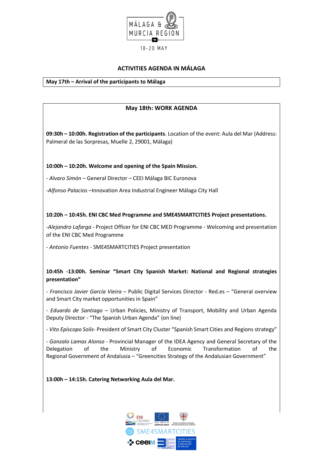

# **ACTIVITIES AGENDA IN MÁLAGA**

#### **May 17th – Arrival of the participants to Málaga**

# **May 18th: WORK AGENDA**

**09:30h – 10:00h. Registration of the participants**. Location of the event: Aula del Mar (Address: Palmeral de las Sorpresas, Muelle 2, 29001, Málaga)

### **10:00h – 10:20h. Welcome and opening of the Spain Mission.**

- *Alvaro Simón* – General Director – CEEI Málaga BIC Euronova

-*Alfonso Palacios* –Innovation Area Industrial Engineer Málaga City Hall

### **10:20h – 10:45h. ENI CBC Med Programme and SME4SMARTCITIES Project presentations.**

-*Alejandro Lafarga* - Project Officer for ENI CBC MED Programme - Welcoming and presentation of the ENI CBC Med Programme

- *Antonio Fuentes* - SME4SMARTCITIES Project presentation

# **10:45h -13:00h. Seminar "Smart City Spanish Market: National and Regional strategies presentation"**

*- Francisco Javier García Vieira* – Public Digital Services Director - Red.es – "General overview and Smart City market opportunities in Spain"

- *Eduardo de Santiago* – Urban Policies, Ministry of Transport, Mobility and Urban Agenda Deputy Director - "The Spanish Urban Agenda" (on line)

- *Vito Epíscopo Solís*- President of Smart City Cluster "Spanish Smart Cities and Regions strategy"

- *Gonzalo Lamas Alonso* - Provincial Manager of the IDEA Agency and General Secretary of the Delegation of the Ministry of Economic Transformation of the Regional Government of Andalusia – "Greencities Strategy of the Andalusian Government"

**13:00h – 14:15h. Catering Networking Aula del Mar.**

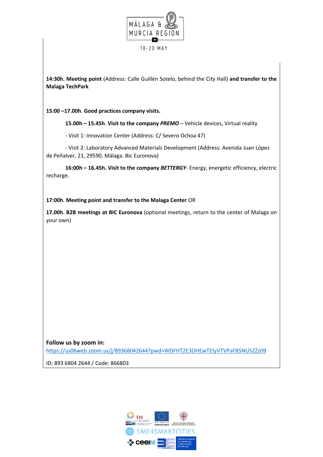

**14:30h. Meeting point** (Address: Calle Guillén Sotelo, behind the City Hall) **and transfer to the Malaga TechPark**

**15:00 –17.00h**. **Good practices company visits.**

**15.00h – 15.45h**. **Visit to the company** *PREMO* – Vehicle devices, Virtual reality

- Visit 1: Innovation Center (Address: C/ Severo Ochoa 47)

- Visit 2: Laboratory Advanced Materials Development (Address: Avenida Juan López de Peñalver, 21, 29590, Málaga. Bic Euronova)

**16:00h – 16.45h. Visit to the company** *BETTERGY*- Energy, energetic efficiency, electric recharge.

**17:00h**. **Meeting point and transfer to the Malaga Center** OR

**17.00h**. **B2B meetings at BIC Euronova** (optional meetings, return to the center of Malaga on your own)

**Follow us by zoom in:**  <https://us06web.zoom.us/j/89368042644?pwd=WDFHT2E3OHEwTEtyVTVPaFB5NU5ZZz09>

ID: 893 6804 2644 / Code: 866803

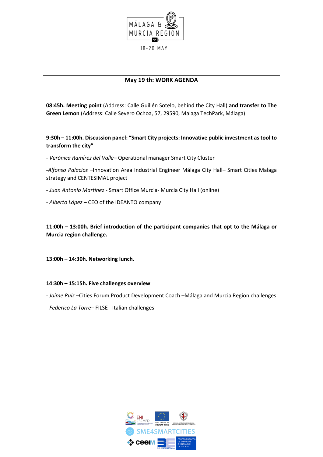

# **May 19 th: WORK AGENDA**

**08:45h. Meeting point** (Address: Calle Guillén Sotelo, behind the City Hall) **and transfer to The Green Lemon** (Address: Calle Severo Ochoa, 57, 29590, Malaga TechPark, Málaga)

**9:30h – 11:00h. Discussion panel: "Smart City projects: Innovative public investment as tool to transform the city"**

- *Verónica Ramírez del Valle*– Operational manager Smart City Cluster

-*Alfonso Palacios* –Innovation Area Industrial Engineer Málaga City Hall– Smart Cities Malaga strategy and CENTESIMAL project

- *Juan Antonio Martínez* - Smart Office Murcia- Murcia City Hall (online)

- *Alberto López* – CEO of the IDEANTO company

**11:00h – 13:00h. Brief introduction of the participant companies that opt to the Málaga or Murcia region challenge.**

**13:00h – 14:30h. Networking lunch.**

#### **14:30h – 15:15h. Five challenges overview**

- *Jaime Ruiz* –Cities Forum Product Development Coach –Málaga and Murcia Region challenges

- *Federico La Torre*– FILSE - Italian challenges

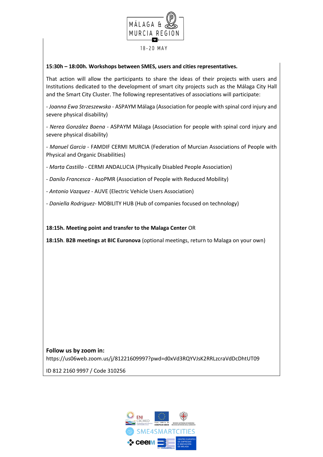

# **15:30h – 18:00h. Workshops between SMES, users and cities representatives.**

That action will allow the participants to share the ideas of their projects with users and Institutions dedicated to the development of smart city projects such as the Málaga City Hall and the Smart City Cluster. The following representatives of associations will participate:

- *Joanna Ewa Strzeszewska* - ASPAYM Málaga (Association for people with spinal cord injury and severe physical disability)

*- Nerea González Baena -* ASPAYM Málaga (Association for people with spinal cord injury and severe physical disability)

- *Manuel Garcia -* FAMDIF CERMI MURCIA (Federation of Murcian Associations of People with Physical and Organic Disabilities)

- *Marta Castillo -* CERMI ANDALUCIA (Physically Disabled People Association)

- *Danilo Francesca -* AsoPMR (Association of People with Reduced Mobility)

- *Antonio Vazquez -* AUVE (Electric Vehicle Users Association)
- *- Daniella Rodriguez-* MOBILITY HUB (Hub of companies focused on technology)

**18:15h. Meeting point and transfer to the Malaga Center** OR

**18:15h**. **B2B meetings at BIC Euronova** (optional meetings, return to Malaga on your own)

**Follow us by zoom in:** https://us06web.zoom.us/j/81221609997?pwd=d0xVd3RQYVJsK2RRLzcraVdDcDhtUT09

ID 812 2160 9997 / Code 310256